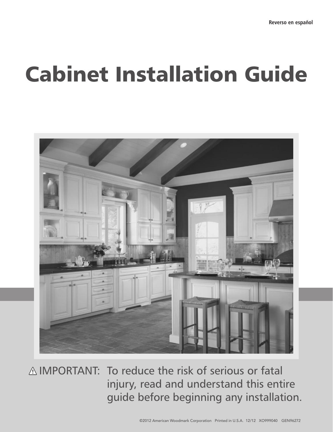# Cabinet Installation Guide



A IMPORTANT: To reduce the risk of serious or fatal injury, read and understand this entire guide before beginning any installation.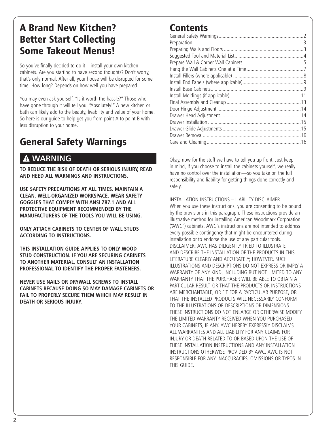### A Brand New Kitchen? Better Start Collecting Some Takeout Menus!

So you've finally decided to do it—install your own kitchen cabinets. Are you starting to have second thoughts? Don't worry, that's only normal. After all, your house will be disrupted for some time. How long? Depends on how well you have prepared.

You may even ask yourself, "Is it worth the hassle?" Those who have gone through it will tell you, "Absolutely!" A new kitchen or bath can likely add to the beauty, livability and value of your home. So here is our guide to help get you from point A to point B with less disruption to your home.

## General Safety Warnings

### **WARNING**

**TO REDUCE THE RISK OF DEATH OR SERIOUS INJURY, READ AND HEED ALL WARNINGS AND INSTRUCTIONS.**

**Use safety precautions at all times. Maintain a clean, well-organized workspace. Wear safety goggles that comply with ANSI Z87.1 and all protective equipment recommended by the manufacturers of the tools you will be using.**

**ONLY ATTACH CABINETS TO CENTER OF WALL STUDS ACCORDING TO INSTRUCTIONS.**

**THIS INSTALLATION GUIDE APPLIES TO ONLY WOOD STUD CONSTRUCTION. IF YOU ARE SECURING CABINETS TO ANOTHER MATERIAL, CONSULT AN INSTALLATION PROFESSIONAL TO IDENTIFY THE PROPER FASTENERS.**

**NEVER USE NAILS or drywall screws TO INSTALL CABINETS BECAUSE DOING SO MAY DAMAGE CABINETS OR FAIL TO PROPERLY SECURE THEM WHICH MAY RESULT IN DEATH OR SERIOUS INJURY.**

### **Contents**

Okay, now for the stuff we have to tell you up front. Just keep in mind, if you choose to install the cabinets yourself, we really have no control over the installation—so you take on the full responsibility and liability for getting things done correctly and safely.

INSTALLATION INSTRUCTIONS – LIABILITY DISCLAIMER When you use these instructions, you are consenting to be bound by the provisions in this paragraph. These instructions provide an illustrative method for installing American Woodmark Corporation ("AWC") cabinets. AWC's instructions are not intended to address every possible contingency that might be encountered during installation or to endorse the use of any particular tools. DISCLAIMER: AWC HAS DILIGENTLY TRIED TO ILLUSTRATE AND DESCRIBE THE INSTALLATION OF THE PRODUCTS IN THIS LITERATURE CLEARLY AND ACCURATELY; HOWEVER, SUCH ILLUSTRATIONS AND DESCRIPTIONS DO NOT EXPRESS OR IMPLY A WARRANTY OF ANY KIND, INCLUDING BUT NOT LIMITED TO ANY WARRANTY THAT THE PURCHASER WILL BE ABLE TO OBTAIN A PARTICULAR RESULT, OR THAT THE PRODUCTS OR INSTRUCTIONS ARE MERCHANTABLE, OR FIT FOR A PARTICULAR PURPOSE, OR THAT THE INSTALLED PRODUCTS WILL NECESSARILY CONFORM TO THE ILLUSTRATIONS OR DESCRIPTIONS OR DIMENSIONS. THESE INSTRUCTIONS DO NOT ENLARGE OR OTHERWISE MODIFY THE LIMITED WARRANTY RECEIVED WHEN YOU PURCHASED YOUR CABINETS, IF ANY. AWC HEREBY EXPRESSLY DISCLAIMS ALL WARRANTIES AND ALL LIABILITY FOR ANY CLAIMS FOR INJURY OR DEATH RELATED TO OR BASED UPON THE USE OF THESE INSTALLATION INSTRUCTIONS AND ANY INSTALLATION INSTRUCTIONS OTHERWISE PROVIDED BY AWC. AWC IS NOT RESPONSIBLE FOR ANY INACCURACIES, OMISSIONS OR TYPOS IN THIS GUIDE.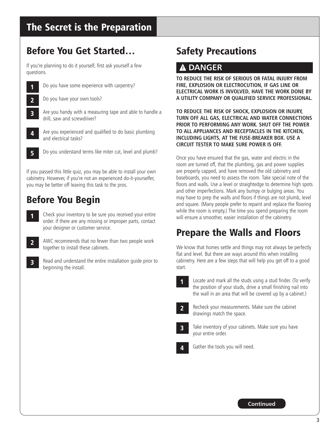### The Secret is the Preparation

### Before You Get Started…

If you're planning to do it yourself, first ask yourself a few questions.

|              | Do you have some experience with carpentry?                                             |
|--------------|-----------------------------------------------------------------------------------------|
| כ            | Do you have your own tools?                                                             |
| $\mathbf{3}$ | Are you handy with a measuring tape and able to handle a<br>drill, saw and screwdriver? |
|              | Are you experienced and qualified to do basic plumbing                                  |

and electrical tasks?

5 Do you understand terms like miter cut, level and plumb?

If you passed this little quiz, you may be able to install your own cabinetry. However, if you're not an experienced do-it-yourselfer, you may be better off leaving this task to the pros.

### Before You Begin

1 Check your inventory to be sure you received your entire order. If there are any missing or improper parts, contact your designer or customer service.



2 AWC recommends that no fewer than two people work together to install these cabinets.

3 Read and understand the entire installation guide prior to beginning the install.

### Safety Precautions

### **DANGER**

**TO REDUCE THE RISK OF SERIOUS OR FATAL INJURY FROM FIRE, EXPLOSION OR ELECTROCUTION, IF GAS LINE OR ELECTRICAL WORK IS INVOLVED, HAVE THE WORK DONE BY A UTILITY COMPANY OR QUALIFIED SERVICE PROFESSIONAL.**

**To reduce the risk of shock, explosion or injury, turn off all gas, electrical and water connections prior to performing any work. Shut off the power to all appliances and receptacles in the kitchen, including lights, at the fuse-breaker box. Use a circuit tester to make sure power is off.**

Once you have ensured that the gas, water and electric in the room are turned off, that the plumbing, gas and power supplies are properly capped, and have removed the old cabinetry and baseboards, you need to assess the room. Take special note of the floors and walls. Use a level or straightedge to determine high spots and other imperfections. Mark any bumpy or bulging areas. You may have to prep the walls and floors if things are not plumb, level and square. (Many people prefer to repaint and replace the flooring while the room is empty.) The time you spend preparing the room will ensure a smoother, easier installation of the cabinetry.

### Prepare the Walls and Floors

We know that homes settle and things may not always be perfectly flat and level. But there are ways around this when installing cabinetry. Here are a few steps that will help you get off to a good start.



Locate and mark all the studs using a stud finder. (To verify the position of your studs, drive a small finishing nail into the wall in an area that will be covered up by a cabinet.)



2 Recheck your measurements. Make sure the cabinet drawings match the space.

Take inventory of your cabinets. Make sure you have your entire order.

Gather the tools you will need.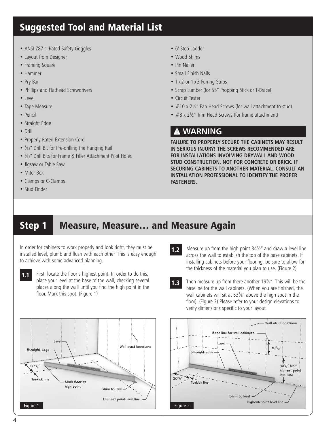### Suggested Tool and Material List

- ANSI Z87.1 Rated Safety Goggles
- Layout from Designer
- Framing Square
- Hammer
- Pry Bar
- Phillips and Flathead Screwdrivers
- Level
- Tape Measure
- Pencil
- Straight Edge
- Drill
- Properly Rated Extension Cord
- <sup>7</sup> ⁄32" Drill Bit for Pre-drilling the Hanging Rail
- <sup>3</sup> ⁄32" Drill Bits for Frame & Filler Attachment Pilot Holes
- Jigsaw or Table Saw
- Miter Box
- Clamps or C-Clamps
- Stud Finder
- 6' Step Ladder
- Wood Shims
- Pin Nailer
- Small Finish Nails
- 1 x 2 or 1 x 3 Furring Strips
- Scrap Lumber (for 55" Propping Stick or T-Brace)
- Circuit Tester
- #10 x 2<sup>1</sup>/<sub>2</sub>" Pan Head Screws (for wall attachment to stud)
- #8 x 21/2" Trim Head Screws (for frame attachment)

### **WARNING**

**Failure to properly secure the cabinets may result in serious injury! The screws recommended are for installations involving drywall and wood stud construction, not for concrete or brick. If securing cabinets to another material, consult an installation professional to identify the proper fasteners.**

### Step 1 Measure, Measure… and Measure Again

In order for cabinets to work properly and look right, they must be installed level, plumb and flush with each other. This is easy enough to achieve with some advanced planning.



1.1 First, locate the floor's highest point. In order to do this, place your level at the base of the wall, checking several places along the wall until you find the high point in the floor. Mark this spot. (Figure 1)





**1.3** Then measure up from there another 19<sup>3</sup>/<sub>8</sub>". This will be the baseline for the wall cabinets. (When you are finished, the wall cabinets will sit at 537 ⁄8" above the high spot in the floor). (Figure 2) Please refer to your design elevations to verify dimensions specific to your layout

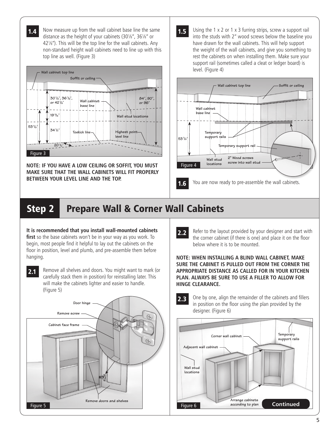**1.4** Now measure up from the wall cabinet base line the same distance as the height of your cabinets (30<sup>1</sup> ⁄8", 361 ⁄8" or 421 ⁄8"). This will be the top line for the wall cabinets. Any non-standard height wall cabinets need to line up with this top line as well. (Figure 3)



**NOTE: IF YOU HAVE A LOW CEILING OR SOFFIT, YOU MUST MAKE SURE THAT THE WALL CABINETS WILL FIT PROPERLY BETWEEN YOUR LEVEL LINE AND THE TOP.**

1.5 Using the 1 x 2 or 1 x 3 furring strips, screw a support rail into the studs with 2" wood screws below the baseline you have drawn for the wall cabinets. This will help support the weight of the wall cabinets, and give you something to rest the cabinets on when installing them. Make sure your support rail (sometimes called a cleat or ledger board) is level. (Figure 4)



# Step 2 Prepare Wall & Corner Wall Cabinets

#### **It is recommended that you install wall-mounted cabinets**

**first** so the base cabinets won't be in your way as you work. To begin, most people find it helpful to lay out the cabinets on the floor in position, level and plumb, and pre-assemble them before hanging.

2.1 Remove all shelves and doors. You might want to mark (or carefully stack them in position) for reinstalling later. This will make the cabinets lighter and easier to handle. (Figure 5)



2.2 Refer to the layout provided by your designer and start with the corner cabinet (if there is one) and place it on the floor below where it is to be mounted.

**Note: When installing a blind wall cabinet, make sure the cabinet is pulled out from the corner the appropriate distance as called for in your kitchen plan. Always be sure to use a filler to allow for hinge clearance.**

2.3 One by one, align the remainder of the cabinets and fillers in position on the floor using the plan provided by the designer. (Figure 6)

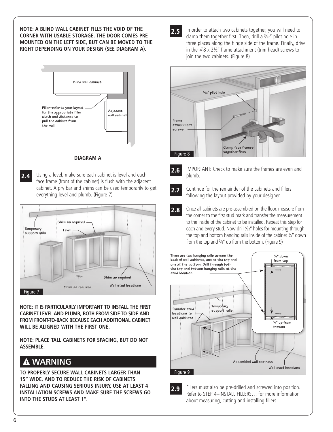**NOTE: A BLIND WALL CABINET FILLS THE VOID OF THE CORNER WITH USABLE STORAGE. THE DOOR comes pre-MOUNTED ON THE LEFT SIDE, BUT CAN BE MOVED TO THE RIGHT DEPENDING ON YOUR DESIGN (SEE DIAGRAM A).**



#### **DIAGRAM A**

**2.4** Using a level, make sure each cabinet is level and each face frame (front of the cabinet) is flush with the adjacent cabinet. A pry bar and shims can be used temporarily to get everything level and plumb. (Figure 7)



**NOTE: IT IS PARTICULARLY IMPORTANT TO INSTALL THE FIRST CABINET LEVEL AND PLUMB, BOTH FROM SIDE-TO-SIDE AND FROM FRONT-TO-BACK BECAUSE EACH ADDITIONAL CABINET WILL BE ALIGNED WITH THE FIRST ONE.**

**Note: place tall cabinets for spacing, but do not assemble.**

#### **WARNING**  $\boldsymbol{\Lambda}$

**To properly secure Wall cabinets larger than 15" wide, and to reduce the risk of cabinets falling and causing serious injury, use at least 4 installation screws and Make sure the screws go into the studs at least 1".**

2.5 In order to attach two cabinets together, you will need to clamp them together first. Then, drill a  $\frac{3}{22}$ " pilot hole in three places along the hinge side of the frame. Finally, drive in the #8 x 2<sup>1</sup> ⁄2" frame attachment (trim head) screws to join the two cabinets. (Figure 8)





2.6 IMPORTANT: Check to make sure the frames are even and plumb.



2.7 Continue for the remainder of the cabinets and fillers following the layout provided by your designer.

**2.8** Once all cabinets are pre-assembled on the floor, measure from the corner to the first stud mark and transfer the measurement to the inside of the cabinet to be installed. Repeat this step for each and every stud. Now drill  $\frac{7}{32}$ " holes for mounting through the top and bottom hanging rails inside of the cabinet 3/4" down from the top and 3 ⁄4" up from the bottom. (Figure 9)



2.9 Fillers must also be pre-drilled and screwed into position. Refer to STEP 4–INSTALL FILLERS… for more information about measuring, cutting and installing fillers.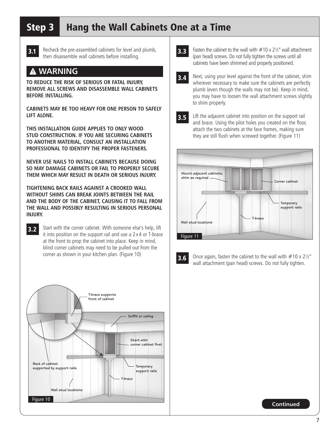# Step 3 Hang the Wall Cabinets One at a Time



**3.1** Recheck the pre-assembled cabinets for level and plumb, then disassemble wall cabinets before installing.

### **WARNING**

**To reduce the risk of serious or fatal injury, remove all screws and disassemble wall cabinets before installing.**

**Cabinets may be too heavy for one person to safely lift alone.**

**THIS INSTALLATION GUIDE APPLIES TO ONLY WOOD STUD CONSTRUCTION. IF YOU ARE SECURING CABINETS TO ANOTHER MATERIAL, CONSULT AN INSTALLATION PROFESSIONAL TO IDENTIFY THE PROPER FASTENERS.**

**NEVER USE NAILS TO INSTALL CABINETS BECAUSE DOING SO MAY DAMAGE CABINETS OR FAIL TO PROPERLY SECURE THEM WHICH MAY RESULT IN DEATH OR SERIOUS INJURY.**

**Tightening back rails against a crooked wall without shims can break joints between the rail and the body of the cabinet, causing it to fall from the wall and possibly resulting in serious personal injury.**

3.2 Start with the corner cabinet. With someone else's help, lift it into position on the support rail and use a 2 x 4 or T-brace at the front to prop the cabinet into place. Keep in mind, blind corner cabinets may need to be pulled out from the corner as shown in your kitchen plan. (Figure 10)



- **3.3** Fasten the cabinet to the wall with  $#10 \times 2\frac{1}{2}$  wall attachment (pan head) screws. Do not fully tighten the screws until all cabinets have been shimmed and properly positioned.
- **3.4** Next, using your level against the front of the cabinet, shim wherever necessary to make sure the cabinets are perfectly plumb (even though the walls may not be). Keep in mind, you may have to loosen the wall attachment screws slightly to shim properly.
- 

**3.5** Lift the adjacent cabinet into position on the support rail and brace. Using the pilot holes you created on the floor, attach the two cabinets at the face frames, making sure they are still flush when screwed together. (Figure 11)



**3.6** Once again, fasten the cabinet to the wall with  $#10 \times 2\frac{1}{2}$ " wall attachment (pan head) screws. Do not fully tighten.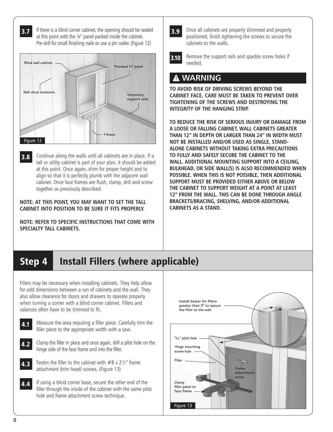**3.7** If there is a blind corner cabinet, the opening should be sealed at this point with the 1 ⁄8" panel packed inside the cabinet. Pre-drill for small finishing nails or use a pin nailer. (Figure 12)



**3.8** Continue along the walls until all cabinets are in place. If a tall or utility cabinet is part of your plan, it should be added at this point. Once again, shim for proper height and to align so that it is perfectly plumb with the adjacent wall cabinet. Once face frames are flush, clamp, drill and screw together as previously described.

#### **NOTE: At this point, you may want to set the tall cabinet into position to be sure it fits properly.**

**Note: REFER TO SPECIFIC INSTRUCTIONS THAT COME WITH SPECIALTY TALL CABINETS.**

**3.9** Once all cabinets are properly shimmed and properly positioned, finish tightening the screws to secure the cabinets to the walls.

**3.10** Remove the support rails and spackle screw holes if needed.

### **WARNING**

**To avoid risk of driving screws beyond the cabinet face, care must be taken to prevent over tightening of the screws and destroying the integrity of the hanging strip.**

**To reduce the risk of serious injury or damage from a loose or falling cabinet, Wall cabinets greater than 12" in depth or larger than 24" in width must NOT be installed and/or used as single, standalone cabinets without taking extra precautions to fully and safely secure the cabinet to the wall. Additional mounting support into a ceiling, bulkhead, or side wall(s) is also recommended when possible. When this is not possible, then additional support must be provided either above or below the cabinet to support weight at a point at least 12" from the wall. This can be done through angle brackets/bracing, shelving, and/or additional cabinets as a stand.**

# Step 4 Install Fillers (where applicable)

Fillers may be necessary when installing cabinets. They help allow for odd dimensions between a run of cabinets and the wall. They also allow clearance for doors and drawers to operate properly when turning a corner with a blind corner cabinet. Fillers and valances often have to be trimmed to fit.



4.1 Measure the area requiring a filler piece. Carefully trim the filler piece to the appropriate width with a saw.

- 4.2 Clamp the filler in place and once again, drill a pilot hole on the hinge side of the face frame and into the filler.
- **4.3** Fasten the filler to the cabinet with  $#8 \times 2\frac{1}{2}$  frame attachment (trim head) screws. (Figure 13)
- 4.4 If using a blind corner base, secure the other end of the filler through the inside of the cabinet with the same pilot hole and frame attachment screw technique.

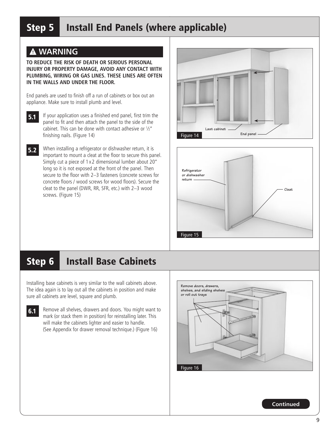# Step 5 Install End Panels (where applicable)

### **WARNING**

**To reduce the risk of death or serious personal injury or property damage, avoid any contact with plumbing, wiring or gas lines. These lines are often in the walls and under the floor.**

End panels are used to finish off a run of cabinets or box out an appliance. Make sure to install plumb and level.

5.1 If your application uses a finished end panel, first trim the panel to fit and then attach the panel to the side of the cabinet. This can be done with contact adhesive or  $\frac{1}{2}$ " finishing nails. (Figure 14)

5.2 When installing a refrigerator or dishwasher return, it is important to mount a cleat at the floor to secure this panel. Simply cut a piece of 1 x 2 dimensional lumber about 20" long so it is not exposed at the front of the panel. Then secure to the floor with 2–3 fasteners (concrete screws for concrete floors / wood screws for wood floors). Secure the cleat to the panel (DWR, RR, SFR, etc.) with 2–3 wood screws. (Figure 15)





### Step 6 Install Base Cabinets

Installing base cabinets is very similar to the wall cabinets above. The idea again is to lay out all the cabinets in position and make sure all cabinets are level, square and plumb.

**6.1** Remove all shelves, drawers and doors. You might want to mark (or stack them in position) for reinstalling later. This will make the cabinets lighter and easier to handle. (See Appendix for drawer removal technique.) (Figure 16)

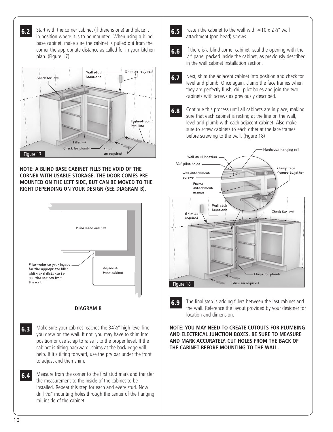**6.2** Start with the corner cabinet (if there is one) and place it in position where it is to be mounted. When using a blind base cabinet, make sure the cabinet is pulled out from the corner the appropriate distance as called for in your kitchen plan. (Figure 17)



**NOTE: A BLIND BASE CABINET FILLS THE VOID OF THE CORNER WITH USABLE STORAGE. THE DOOR comes pre-MOUNTED ON THE LEFT SIDE, BUT CAN BE MOVED TO THE RIGHT DEPENDING ON YOUR DESIGN (SEE DIAGRAM B).**



#### **DIAGRAM B**

- **6.3** Make sure your cabinet reaches the 34<sup>1</sup>/<sub>2</sub>" high level line you drew on the wall. If not, you may have to shim into position or use scrap to raise it to the proper level. If the cabinet is tilting backward, shims at the back edge will help. If it's tilting forward, use the pry bar under the front to adjust and then shim.
- **6.4** Measure from the corner to the first stud mark and transfer the measurement to the inside of the cabinet to be installed. Repeat this step for each and every stud. Now drill 7 ⁄32" mounting holes through the center of the hanging rail inside of the cabinet.
- **6.5** Fasten the cabinet to the wall with  $#10 \times 2\frac{1}{2}$  wall attachment (pan head) screws.
- 6.6 If there is a blind corner cabinet, seal the opening with the 1 ⁄8" panel packed inside the cabinet, as previously described in the wall cabinet installation section.
- **6.7** Next, shim the adjacent cabinet into position and check for level and plumb. Once again, clamp the face frames when they are perfectly flush, drill pilot holes and join the two cabinets with screws as previously described.
- **6.8** Continue this process until all cabinets are in place, making sure that each cabinet is resting at the line on the wall, level and plumb with each adjacent cabinet. Also make sure to screw cabinets to each other at the face frames before screwing to the wall. (Figure 18)



6.9 The final step is adding fillers between the last cabinet and the wall. Reference the layout provided by your designer for location and dimension.

**NOTE: YOU MAY NEED TO CREATE CUTOUTS FOR PLUMBING AND ELECTRICAL JUNCTION BOXES. BE SURE TO measure and MARK ACCURATELY. CUT HOLES FROM THE BACK OF THE CABINET BEFORE MOUNTING TO THE WALL.**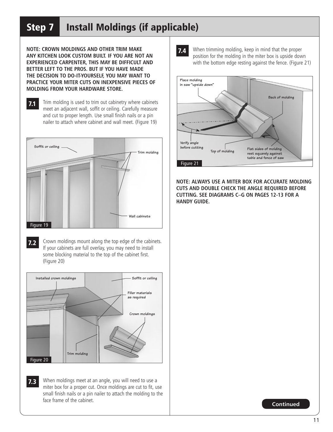# Step 7 Install Moldings (if applicable)

**Note: Crown moldings and other trim make any kitchen look custom built. If you are not an experienced carpenter, this may be difficult and better left to the pros. But if you have made the decision to do-it-yourself, you may want to practice your miter cuts on inexpensive pieces of molding from your hardware store.**

7.1 Trim molding is used to trim out cabinetry where cabinets meet an adjacent wall, soffit or ceiling. Carefully measure and cut to proper length. Use small finish nails or a pin nailer to attach where cabinet and wall meet. (Figure 19)



7.2 Crown moldings mount along the top edge of the cabinets. If your cabinets are full overlay, you may need to install some blocking material to the top of the cabinet first. (Figure 20)



7.3 When moldings meet at an angle, you will need to use a miter box for a proper cut. Once moldings are cut to fit, use small finish nails or a pin nailer to attach the molding to the face frame of the cabinet.

**7.4** When trimming molding, keep in mind that the proper position for the molding in the miter box is upside down with the bottom edge resting against the fence. (Figure 21)



**NOTE: ALWAYS USE A MITER BOX FOR ACCURATE MOLDING CUTS AND DOUBLE CHECK THE ANGLE REQUIRED BEFORE CUTTING. SEE DIAGRAMS C–G on pages 12-13 FOR A HANDY GUIDE.**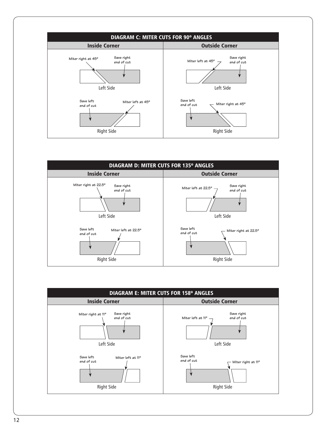



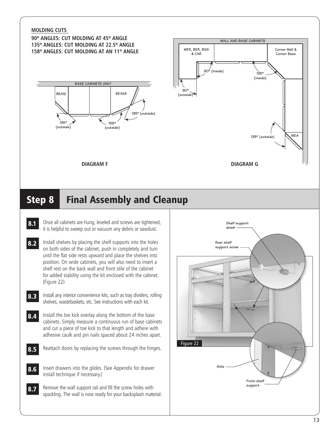#### **MOLDING CUTS**

**90º Angles: Cut molding at 45º angle 135º Angles: Cut molding at 22.5º angle 158º Angles: Cut molding at an 11º angle**





### **DIAGRAM F**

### Step 8 Final Assembly and Cleanup

- 8.1 Once all cabinets are hung, leveled and screws are tightened, it is helpful to sweep out or vacuum any debris or sawdust.
- 8.2 Install shelves by placing the shelf supports into the holes on both sides of the cabinet, push in completely and turn until the flat side rests upward and place the shelves into position. On wide cabinets, you will also need to insert a shelf rest on the back wall and front stile of the cabinet for added stability using the kit enclosed with the cabinet. (Figure 22)
- 8.3 Install any interior convenience kits, such as tray dividers, rolling shelves, wastebaskets, etc. See instructions with each kit.
- **8.4** Install the toe kick overlay along the bottom of the base cabinets. Simply measure a continuous run of base cabinets and cut a piece of toe kick to that length and adhere with adhesive caulk and pin nails spaced about 24 inches apart.
- 8.5 Reattach doors by replacing the screws through the hinges.
- 8.6 Insert drawers into the glides. (See Appendix for drawer install technique if necessary.)
- 8.7 Remove the wall support rail and fill the screw holes with spackling. The wall is now ready for your backsplash material.

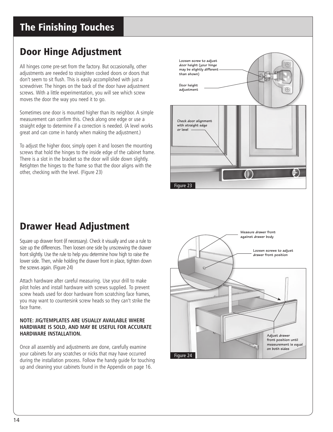# Door Hinge Adjustment

All hinges come pre-set from the factory. But occasionally, other adjustments are needed to straighten cocked doors or doors that don't seem to sit flush. This is easily accomplished with just a screwdriver. The hinges on the back of the door have adjustment screws. With a little experimentation, you will see which screw moves the door the way you need it to go.

Sometimes one door is mounted higher than its neighbor. A simple measurement can confirm this. Check along one edge or use a straight edge to determine if a correction is needed. (A level works great and can come in handy when making the adjustment.)

To adjust the higher door, simply open it and loosen the mounting screws that hold the hinges to the inside edge of the cabinet frame. There is a slot in the bracket so the door will slide down slightly. Retighten the hinges to the frame so that the door aligns with the other, checking with the level. (Figure 23)



### Drawer Head Adjustment

Square up drawer front (if necessary). Check it visually and use a rule to size up the differences. Then loosen one side by unscrewing the drawer front slightly. Use the rule to help you determine how high to raise the lower side. Then, while holding the drawer front in place, tighten down the screws again. (Figure 24)

Attach hardware after careful measuring. Use your drill to make pilot holes and install hardware with screws supplied. To prevent screw heads used for door hardware from scratching face frames, you may want to countersink screw heads so they can't strike the face frame.

#### **NOTE: Jig/templates are usually available where hardware is sold, and may be useful for accurate hardware installation.**

Once all assembly and adjustments are done, carefully examine your cabinets for any scratches or nicks that may have occurred during the installation process. Follow the handy guide for touching up and cleaning your cabinets found in the Appendix on page 16.

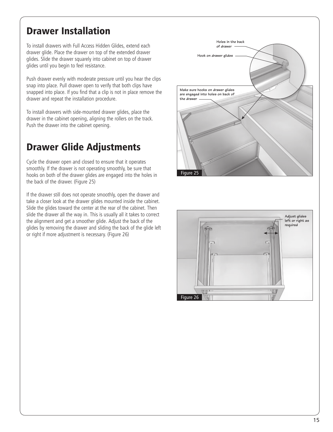### Drawer Installation

To install drawers with Full Access Hidden Glides, extend each drawer glide. Place the drawer on top of the extended drawer glides. Slide the drawer squarely into cabinet on top of drawer glides until you begin to feel resistance.

Push drawer evenly with moderate pressure until you hear the clips snap into place. Pull drawer open to verify that both clips have snapped into place. If you find that a clip is not in place remove the drawer and repeat the installation procedure.

To install drawers with side-mounted drawer glides, place the drawer in the cabinet opening, aligning the rollers on the track. Push the drawer into the cabinet opening.

### Drawer Glide Adjustments

Cycle the drawer open and closed to ensure that it operates smoothly. If the drawer is not operating smoothly, be sure that hooks on both of the drawer glides are engaged into the holes in the back of the drawer. (Figure 25)

If the drawer still does not operate smoothly, open the drawer and take a closer look at the drawer glides mounted inside the cabinet. Slide the glides toward the center at the rear of the cabinet. Then slide the drawer all the way in. This is usually all it takes to correct the alignment and get a smoother glide. Adjust the back of the glides by removing the drawer and sliding the back of the glide left or right if more adjustment is necessary. (Figure 26)



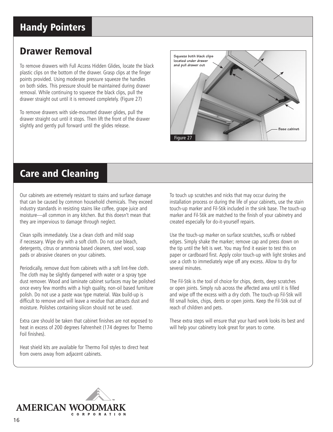### Handy Pointers

### Drawer Removal

To remove drawers with Full Access Hidden Glides, locate the black plastic clips on the bottom of the drawer. Grasp clips at the finger points provided. Using moderate pressure squeeze the handles on both sides. This pressure should be maintained during drawer removal. While continuing to squeeze the black clips, pull the drawer straight out until it is removed completely. (Figure 27)

To remove drawers with side-mounted drawer glides, pull the drawer straight out until it stops. Then lift the front of the drawer slightly and gently pull forward until the glides release.



### Care and Cleaning

Our cabinets are extremely resistant to stains and surface damage that can be caused by common household chemicals. They exceed industry standards in resisting stains like coffee, grape juice and moisture—all common in any kitchen. But this doesn't mean that they are impervious to damage through neglect.

Clean spills immediately. Use a clean cloth and mild soap if necessary. Wipe dry with a soft cloth. Do not use bleach, detergents, citrus or ammonia based cleaners, steel wool, soap pads or abrasive cleaners on your cabinets.

Periodically, remove dust from cabinets with a soft lint-free cloth. The cloth may be slightly dampened with water or a spray type dust remover. Wood and laminate cabinet surfaces may be polished once every few months with a high quality, non-oil based furniture polish. Do not use a paste wax type material. Wax build-up is difficult to remove and will leave a residue that attracts dust and moisture. Polishes containing silicon should not be used.

Extra care should be taken that cabinet finishes are not exposed to heat in excess of 200 degrees Fahrenheit (174 degrees for Thermo Foil finishes).

Heat shield kits are available for Thermo Foil styles to direct heat from ovens away from adjacent cabinets.

To touch up scratches and nicks that may occur during the installation process or during the life of your cabinets, use the stain touch-up marker and Fil-Stik included in the sink base. The touch-up marker and Fil-Stik are matched to the finish of your cabinetry and created especially for do-it-yourself repairs.

Use the touch-up marker on surface scratches, scuffs or rubbed edges. Simply shake the marker; remove cap and press down on the tip until the felt is wet. You may find it easier to test this on paper or cardboard first. Apply color touch-up with light strokes and use a cloth to immediately wipe off any excess. Allow to dry for several minutes.

The Fil-Stik is the tool of choice for chips, dents, deep scratches or open joints. Simply rub across the affected area until it is filled and wipe off the excess with a dry cloth. The touch-up Fil-Stik will fill small holes, chips, dents or open joints. Keep the Fil-Stik out of reach of children and pets.

These extra steps will ensure that your hard work looks its best and will help your cabinetry look great for years to come.